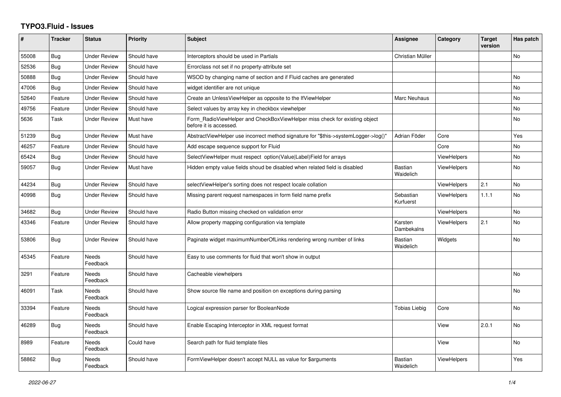## **TYPO3.Fluid - Issues**

| #     | <b>Tracker</b> | <b>Status</b>            | <b>Priority</b> | Subject                                                                                              | Assignee                    | Category           | <b>Target</b><br>version | Has patch |
|-------|----------------|--------------------------|-----------------|------------------------------------------------------------------------------------------------------|-----------------------------|--------------------|--------------------------|-----------|
| 55008 | Bug            | <b>Under Review</b>      | Should have     | Interceptors should be used in Partials                                                              | Christian Müller            |                    |                          | No        |
| 52536 | Bug            | <b>Under Review</b>      | Should have     | Errorclass not set if no property-attribute set                                                      |                             |                    |                          |           |
| 50888 | Bug            | <b>Under Review</b>      | Should have     | WSOD by changing name of section and if Fluid caches are generated                                   |                             |                    |                          | No        |
| 47006 | Bug            | <b>Under Review</b>      | Should have     | widget identifier are not unique                                                                     |                             |                    |                          | <b>No</b> |
| 52640 | Feature        | <b>Under Review</b>      | Should have     | Create an UnlessViewHelper as opposite to the IfViewHelper                                           | Marc Neuhaus                |                    |                          | <b>No</b> |
| 49756 | Feature        | <b>Under Review</b>      | Should have     | Select values by array key in checkbox viewhelper                                                    |                             |                    |                          | No        |
| 5636  | Task           | <b>Under Review</b>      | Must have       | Form RadioViewHelper and CheckBoxViewHelper miss check for existing object<br>before it is accessed. |                             |                    |                          | No        |
| 51239 | Bug            | <b>Under Review</b>      | Must have       | AbstractViewHelper use incorrect method signature for "\$this->systemLogger->log()"                  | Adrian Föder                | Core               |                          | Yes       |
| 46257 | Feature        | <b>Under Review</b>      | Should have     | Add escape sequence support for Fluid                                                                |                             | Core               |                          | <b>No</b> |
| 65424 | <b>Bug</b>     | <b>Under Review</b>      | Should have     | SelectViewHelper must respect option(Value Label)Field for arrays                                    |                             | ViewHelpers        |                          | No        |
| 59057 | Bug            | <b>Under Review</b>      | Must have       | Hidden empty value fields shoud be disabled when related field is disabled                           | <b>Bastian</b><br>Waidelich | <b>ViewHelpers</b> |                          | <b>No</b> |
| 44234 | <b>Bug</b>     | <b>Under Review</b>      | Should have     | selectViewHelper's sorting does not respect locale collation                                         |                             | ViewHelpers        | 2.1                      | <b>No</b> |
| 40998 | Bug            | <b>Under Review</b>      | Should have     | Missing parent request namespaces in form field name prefix                                          | Sebastian<br>Kurfuerst      | ViewHelpers        | 1.1.1                    | No        |
| 34682 | <b>Bug</b>     | <b>Under Review</b>      | Should have     | Radio Button missing checked on validation error                                                     |                             | <b>ViewHelpers</b> |                          | <b>No</b> |
| 43346 | Feature        | <b>Under Review</b>      | Should have     | Allow property mapping configuration via template                                                    | Karsten<br>Dambekalns       | <b>ViewHelpers</b> | 2.1                      | No        |
| 53806 | Bug            | <b>Under Review</b>      | Should have     | Paginate widget maximumNumberOfLinks rendering wrong number of links                                 | <b>Bastian</b><br>Waidelich | Widgets            |                          | No        |
| 45345 | Feature        | <b>Needs</b><br>Feedback | Should have     | Easy to use comments for fluid that won't show in output                                             |                             |                    |                          |           |
| 3291  | Feature        | Needs<br>Feedback        | Should have     | Cacheable viewhelpers                                                                                |                             |                    |                          | No        |
| 46091 | Task           | Needs<br>Feedback        | Should have     | Show source file name and position on exceptions during parsing                                      |                             |                    |                          | No        |
| 33394 | Feature        | <b>Needs</b><br>Feedback | Should have     | Logical expression parser for BooleanNode                                                            | Tobias Liebig               | Core               |                          | <b>No</b> |
| 46289 | Bug            | <b>Needs</b><br>Feedback | Should have     | Enable Escaping Interceptor in XML request format                                                    |                             | View               | 2.0.1                    | <b>No</b> |
| 8989  | Feature        | Needs<br>Feedback        | Could have      | Search path for fluid template files                                                                 |                             | View               |                          | No        |
| 58862 | Bug            | Needs<br>Feedback        | Should have     | FormViewHelper doesn't accept NULL as value for \$arguments                                          | <b>Bastian</b><br>Waidelich | <b>ViewHelpers</b> |                          | Yes       |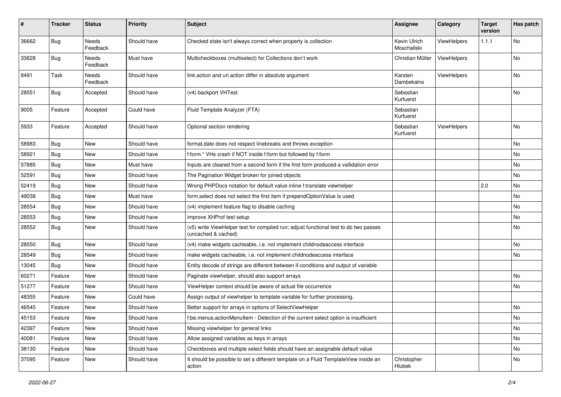| #     | <b>Tracker</b> | <b>Status</b>            | <b>Priority</b> | <b>Subject</b>                                                                                              | <b>Assignee</b>             | Category           | <b>Target</b><br>version | Has patch |
|-------|----------------|--------------------------|-----------------|-------------------------------------------------------------------------------------------------------------|-----------------------------|--------------------|--------------------------|-----------|
| 36662 | Bug            | <b>Needs</b><br>Feedback | Should have     | Checked state isn't always correct when property is collection                                              | Kevin Ulrich<br>Moschallski | ViewHelpers        | 1.1.1                    | No        |
| 33628 | <b>Bug</b>     | Needs<br>Feedback        | Must have       | Multicheckboxes (multiselect) for Collections don't work                                                    | Christian Müller            | <b>ViewHelpers</b> |                          | No        |
| 8491  | Task           | Needs<br>Feedback        | Should have     | link.action and uri.action differ in absolute argument                                                      | Karsten<br>Dambekalns       | ViewHelpers        |                          | No        |
| 28551 | Bug            | Accepted                 | Should have     | (v4) backport VHTest                                                                                        | Sebastian<br>Kurfuerst      |                    |                          | No        |
| 9005  | Feature        | Accepted                 | Could have      | Fluid Template Analyzer (FTA)                                                                               | Sebastian<br>Kurfuerst      |                    |                          |           |
| 5933  | Feature        | Accepted                 | Should have     | Optional section rendering                                                                                  | Sebastian<br>Kurfuerst      | ViewHelpers        |                          | <b>No</b> |
| 58983 | <b>Bug</b>     | New                      | Should have     | format.date does not respect linebreaks and throws exception                                                |                             |                    |                          | No        |
| 58921 | <b>Bug</b>     | New                      | Should have     | f:form.* VHs crash if NOT inside f:form but followed by f:form                                              |                             |                    |                          | No        |
| 57885 | Bug            | New                      | Must have       | Inputs are cleared from a second form if the first form produced a vallidation error                        |                             |                    |                          | No        |
| 52591 | <b>Bug</b>     | New                      | Should have     | The Pagination Widget broken for joined objects                                                             |                             |                    |                          | No        |
| 52419 | Bug            | New                      | Should have     | Wrong PHPDocs notation for default value inline f:translate viewhelper                                      |                             |                    | 2.0                      | No        |
| 49038 | <b>Bug</b>     | New                      | Must have       | form.select does not select the first item if prependOptionValue is used                                    |                             |                    |                          | No        |
| 28554 | <b>Bug</b>     | New                      | Should have     | (v4) implement feature flag to disable caching                                                              |                             |                    |                          | No        |
| 28553 | Bug            | New                      | Should have     | improve XHProf test setup                                                                                   |                             |                    |                          | No        |
| 28552 | <b>Bug</b>     | New                      | Should have     | (v5) write ViewHelper test for compiled run; adjust functional test to do two passes<br>(uncached & cached) |                             |                    |                          | No        |
| 28550 | Bug            | New                      | Should have     | (v4) make widgets cacheable, i.e. not implement childnodeaccess interface                                   |                             |                    |                          | No        |
| 28549 | Bug            | New                      | Should have     | make widgets cacheable, i.e. not implement childnodeaccess interface                                        |                             |                    |                          | No        |
| 13045 | <b>Bug</b>     | <b>New</b>               | Should have     | Entity decode of strings are different between if-conditions and output of variable                         |                             |                    |                          |           |
| 60271 | Feature        | New                      | Should have     | Paginate viewhelper, should also support arrays                                                             |                             |                    |                          | No        |
| 51277 | Feature        | New                      | Should have     | ViewHelper context should be aware of actual file occurrence                                                |                             |                    |                          | No        |
| 48355 | Feature        | New                      | Could have      | Assign output of viewhelper to template variable for further processing.                                    |                             |                    |                          |           |
| 46545 | Feature        | New                      | Should have     | Better support for arrays in options of SelectViewHelper                                                    |                             |                    |                          | No        |
| 45153 | Feature        | New                      | Should have     | f:be.menus.actionMenuItem - Detection of the current select option is insufficient                          |                             |                    |                          | No        |
| 42397 | Feature        | New                      | Should have     | Missing viewhelper for general links                                                                        |                             |                    |                          | No        |
| 40081 | Feature        | New                      | Should have     | Allow assigned variables as keys in arrays                                                                  |                             |                    |                          | No        |
| 38130 | Feature        | New                      | Should have     | Checkboxes and multiple select fields should have an assignable default value                               |                             |                    |                          | No        |
| 37095 | Feature        | New                      | Should have     | It should be possible to set a different template on a Fluid TemplateView inside an<br>action               | Christopher<br>Hlubek       |                    |                          | No        |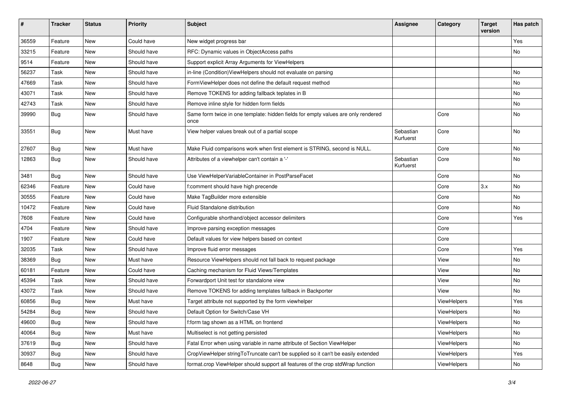| #     | <b>Tracker</b> | <b>Status</b> | <b>Priority</b> | Subject                                                                                   | <b>Assignee</b>        | Category    | <b>Target</b><br>version | Has patch     |
|-------|----------------|---------------|-----------------|-------------------------------------------------------------------------------------------|------------------------|-------------|--------------------------|---------------|
| 36559 | Feature        | New           | Could have      | New widget progress bar                                                                   |                        |             |                          | Yes           |
| 33215 | Feature        | New           | Should have     | RFC: Dynamic values in ObjectAccess paths                                                 |                        |             |                          | No            |
| 9514  | Feature        | New           | Should have     | Support explicit Array Arguments for ViewHelpers                                          |                        |             |                          |               |
| 56237 | Task           | New           | Should have     | in-line (Condition) ViewHelpers should not evaluate on parsing                            |                        |             |                          | No            |
| 47669 | Task           | New           | Should have     | FormViewHelper does not define the default request method                                 |                        |             |                          | No            |
| 43071 | Task           | New           | Should have     | Remove TOKENS for adding fallback teplates in B                                           |                        |             |                          | No            |
| 42743 | Task           | New           | Should have     | Remove inline style for hidden form fields                                                |                        |             |                          | No            |
| 39990 | <b>Bug</b>     | New           | Should have     | Same form twice in one template: hidden fields for empty values are only rendered<br>once |                        | Core        |                          | No            |
| 33551 | Bug            | New           | Must have       | View helper values break out of a partial scope                                           | Sebastian<br>Kurfuerst | Core        |                          | No            |
| 27607 | <b>Bug</b>     | New           | Must have       | Make Fluid comparisons work when first element is STRING, second is NULL.                 |                        | Core        |                          | No            |
| 12863 | Bug            | New           | Should have     | Attributes of a viewhelper can't contain a '-'                                            | Sebastian<br>Kurfuerst | Core        |                          | No            |
| 3481  | Bug            | New           | Should have     | Use ViewHelperVariableContainer in PostParseFacet                                         |                        | Core        |                          | No            |
| 62346 | Feature        | New           | Could have      | f:comment should have high precende                                                       |                        | Core        | 3.x                      | No            |
| 30555 | Feature        | New           | Could have      | Make TagBuilder more extensible                                                           |                        | Core        |                          | No            |
| 10472 | Feature        | New           | Could have      | Fluid Standalone distribution                                                             |                        | Core        |                          | No            |
| 7608  | Feature        | New           | Could have      | Configurable shorthand/object accessor delimiters                                         |                        | Core        |                          | Yes           |
| 4704  | Feature        | New           | Should have     | Improve parsing exception messages                                                        |                        | Core        |                          |               |
| 1907  | Feature        | New           | Could have      | Default values for view helpers based on context                                          |                        | Core        |                          |               |
| 32035 | Task           | New           | Should have     | Improve fluid error messages                                                              |                        | Core        |                          | Yes           |
| 38369 | Bug            | New           | Must have       | Resource ViewHelpers should not fall back to request package                              |                        | View        |                          | No            |
| 60181 | Feature        | New           | Could have      | Caching mechanism for Fluid Views/Templates                                               |                        | View        |                          | No            |
| 45394 | Task           | New           | Should have     | Forwardport Unit test for standalone view                                                 |                        | View        |                          | No            |
| 43072 | Task           | New           | Should have     | Remove TOKENS for adding templates fallback in Backporter                                 |                        | View        |                          | No            |
| 60856 | <b>Bug</b>     | New           | Must have       | Target attribute not supported by the form viewhelper                                     |                        | ViewHelpers |                          | Yes           |
| 54284 | <b>Bug</b>     | New           | Should have     | Default Option for Switch/Case VH                                                         |                        | ViewHelpers |                          | No            |
| 49600 | <b>Bug</b>     | New           | Should have     | f:form tag shown as a HTML on frontend                                                    |                        | ViewHelpers |                          | $\mathsf{No}$ |
| 40064 | Bug            | New           | Must have       | Multiselect is not getting persisted                                                      |                        | ViewHelpers |                          | No            |
| 37619 | <b>Bug</b>     | New           | Should have     | Fatal Error when using variable in name attribute of Section ViewHelper                   |                        | ViewHelpers |                          | No            |
| 30937 | Bug            | New           | Should have     | CropViewHelper stringToTruncate can't be supplied so it can't be easily extended          |                        | ViewHelpers |                          | Yes           |
| 8648  | Bug            | New           | Should have     | format.crop ViewHelper should support all features of the crop stdWrap function           |                        | ViewHelpers |                          | No            |